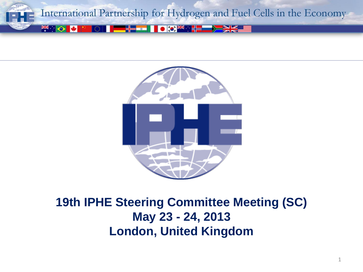



#### **19th IPHE Steering Committee Meeting (SC) May 23 - 24, 2013 London, United Kingdom**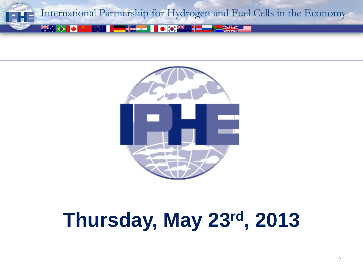



# **Thursday, May 23rd, 2013**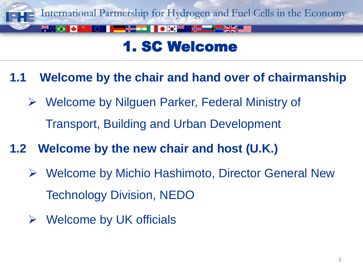

## 1. SC Welcome

**1.1 Welcome by the chair and hand over of chairmanship**

- Welcome by Nilguen Parker, Federal Ministry of Transport, Building and Urban Development
- **1.2 Welcome by the new chair and host (U.K.)**
	- Welcome by Michio Hashimoto, Director General New Technology Division, NEDO
	- $\triangleright$  Welcome by UK officials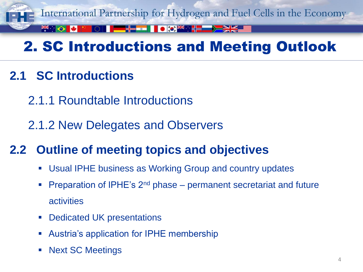

# 2. SC Introductions and Meeting Outlook

- **2.1 SC Introductions**
	- 2.1.1 Roundtable Introductions
	- 2.1.2 New Delegates and Observers
- **2.2 Outline of meeting topics and objectives**
	- Usual IPHE business as Working Group and country updates
	- Preparation of IPHE's 2nd phase permanent secretariat and future activities
	- Dedicated UK presentations
	- Austria's application for IPHE membership
	- Next SC Meetings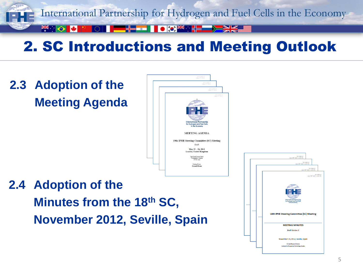

## 2. SC Introductions and Meeting Outlook

## **2.3 Adoption of the Meeting Agenda**



## **2.4 Adoption of the Minutes from the 18th SC, November 2012, Seville, Spain**

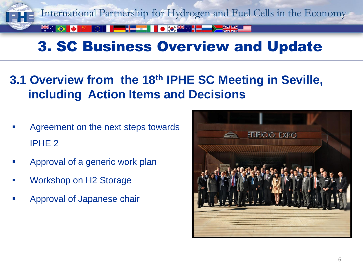

## **3.1 Overview from the 18th IPHE SC Meeting in Seville, including Action Items and Decisions**

- Agreement on the next steps towards IPHE 2
- Approval of a generic work plan
- Workshop on H2 Storage
- Approval of Japanese chair

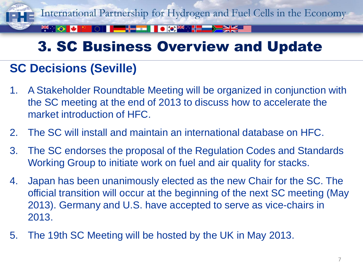

## **SC Decisions (Seville)**

- 1. A Stakeholder Roundtable Meeting will be organized in conjunction with the SC meeting at the end of 2013 to discuss how to accelerate the market introduction of HFC.
- 2. The SC will install and maintain an international database on HFC.
- 3. The SC endorses the proposal of the Regulation Codes and Standards Working Group to initiate work on fuel and air quality for stacks.
- 4. Japan has been unanimously elected as the new Chair for the SC. The official transition will occur at the beginning of the next SC meeting (May 2013). Germany and U.S. have accepted to serve as vice-chairs in 2013.
- 5. The 19th SC Meeting will be hosted by the UK in May 2013.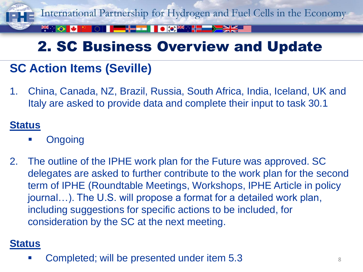

## **SC Action Items (Seville)**

1. China, Canada, NZ, Brazil, Russia, South Africa, India, Iceland, UK and Italy are asked to provide data and complete their input to task 30.1

#### **Status**

- **Ongoing**
- 2. The outline of the IPHE work plan for the Future was approved. SC delegates are asked to further contribute to the work plan for the second term of IPHE (Roundtable Meetings, Workshops, IPHE Article in policy journal…). The U.S. will propose a format for a detailed work plan, including suggestions for specific actions to be included, for consideration by the SC at the next meeting.

#### **Status**

Completed; will be presented under item 5.3 <sup>8</sup>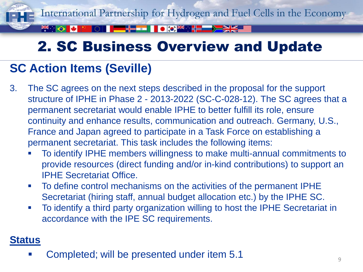

## **SC Action Items (Seville)**

- 3. The SC agrees on the next steps described in the proposal for the support structure of IPHE in Phase 2 - 2013-2022 (SC-C-028-12). The SC agrees that a permanent secretariat would enable IPHE to better fulfill its role, ensure continuity and enhance results, communication and outreach. Germany, U.S., France and Japan agreed to participate in a Task Force on establishing a permanent secretariat. This task includes the following items:
	- To identify IPHE members willingness to make multi-annual commitments to provide resources (direct funding and/or in-kind contributions) to support an IPHE Secretariat Office.
	- To define control mechanisms on the activities of the permanent IPHE Secretariat (hiring staff, annual budget allocation etc.) by the IPHE SC.
	- To identify a third party organization willing to host the IPHE Secretariat in accordance with the IPE SC requirements.

#### **Status**

Completed; will be presented under item 5.1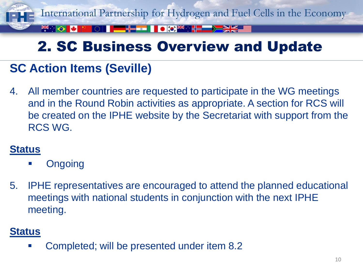

## **SC Action Items (Seville)**

4. All member countries are requested to participate in the WG meetings and in the Round Robin activities as appropriate. A section for RCS will be created on the IPHE website by the Secretariat with support from the RCS WG.

#### **Status**

- **Ongoing**
- 5. IPHE representatives are encouraged to attend the planned educational meetings with national students in conjunction with the next IPHE meeting.

#### **Status**

**EXED:** Completed; will be presented under item 8.2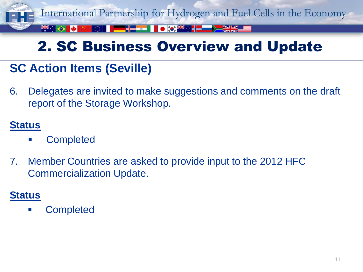

## **SC Action Items (Seville)**

6. Delegates are invited to make suggestions and comments on the draft report of the Storage Workshop.

#### **Status**

- **Completed**
- 7. Member Countries are asked to provide input to the 2012 HFC Commercialization Update.

#### **Status**

**E** Completed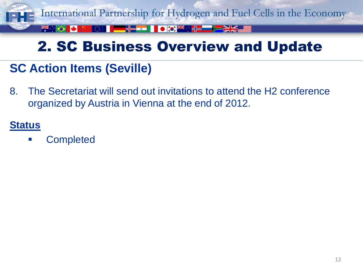

## **SC Action Items (Seville)**

8. The Secretariat will send out invitations to attend the H2 conference organized by Austria in Vienna at the end of 2012.

#### **Status**

Completed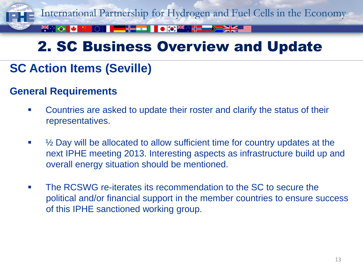

## **SC Action Items (Seville)**

#### **General Requirements**

- Countries are asked to update their roster and clarify the status of their representatives.
- $\blacksquare$   $\mathcal{V}_2$  Day will be allocated to allow sufficient time for country updates at the next IPHE meeting 2013. Interesting aspects as infrastructure build up and overall energy situation should be mentioned.
- **The RCSWG re-iterates its recommendation to the SC to secure the** political and/or financial support in the member countries to ensure success of this IPHE sanctioned working group.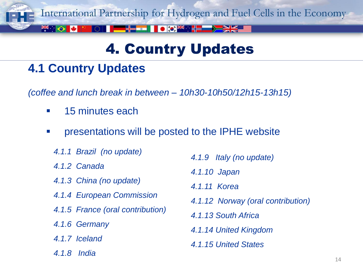

## 4. Country Updates

## **4.1 Country Updates**

*(coffee and lunch break in between – 10h30-10h50/12h15-13h15)* 

- **15 minutes each**
- **EXECUTE:** Presentations will be posted to the IPHE website
	- *4.1.1 Brazil (no update)*
	- *4.1.2 Canada*
	- *4.1.3 China (no update)*
	- *4.1.4 European Commission*
	- *4.1.5 France (oral contribution)*
	- *4.1.6 Germany*
	- *4.1.7 Iceland*
	- *4.1.8 India*
- *4.1.9 Italy (no update)*
- *4.1.10 Japan*
- *4.1.11 Korea*
- *4.1.12 Norway (oral contribution)*
- *4.1.13 South Africa*
- *4.1.14 United Kingdom*
- *4.1.15 United States*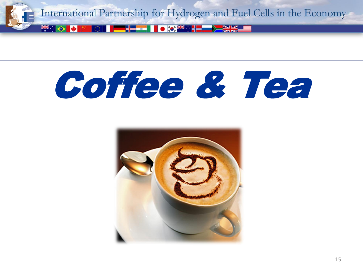

# Coffee & Tea

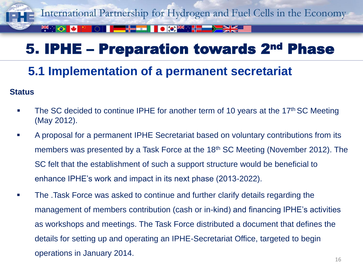

## **5.1 Implementation of a permanent secretariat**

#### **Status**

- The SC decided to continue IPHE for another term of 10 years at the 17<sup>th</sup> SC Meeting (May 2012).
- A proposal for a permanent IPHE Secretariat based on voluntary contributions from its members was presented by a Task Force at the 18<sup>th</sup> SC Meeting (November 2012). The SC felt that the establishment of such a support structure would be beneficial to enhance IPHE's work and impact in its next phase (2013-2022).
- **The .Task Force was asked to continue and further clarify details regarding the** management of members contribution (cash or in-kind) and financing IPHE's activities as workshops and meetings. The Task Force distributed a document that defines the details for setting up and operating an IPHE-Secretariat Office, targeted to begin operations in January 2014.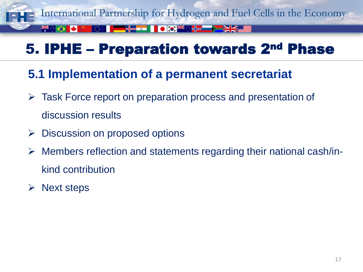

**5.1 Implementation of a permanent secretariat**

- Task Force report on preparation process and presentation of discussion results
- $\triangleright$  Discussion on proposed options
- $\triangleright$  Members reflection and statements regarding their national cash/inkind contribution
- $\triangleright$  Next steps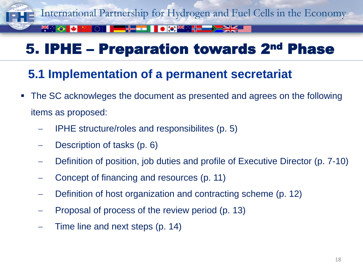

**5.1 Implementation of a permanent secretariat**

- The SC acknowleges the document as presented and agrees on the following items as proposed:
	- IPHE structure/roles and responsibilites (p. 5)
	- Description of tasks (p. 6)
	- Definition of position, job duties and profile of Executive Director (p. 7-10)
	- Concept of financing and resources (p. 11)
	- Definition of host organization and contracting scheme (p. 12)
	- Proposal of process of the review period (p. 13)
	- Time line and next steps (p. 14)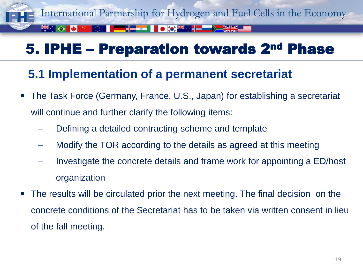

#### **5.1 Implementation of a permanent secretariat**

- The Task Force (Germany, France, U.S., Japan) for establishing a secretariat will continue and further clarify the following items:
	- Defining a detailed contracting scheme and template
	- Modify the TOR according to the details as agreed at this meeting
	- $\blacksquare$  Investigate the concrete details and frame work for appointing a ED/host organization
- The results will be circulated prior the next meeting. The final decision on the concrete conditions of the Secretariat has to be taken via written consent in lieu of the fall meeting.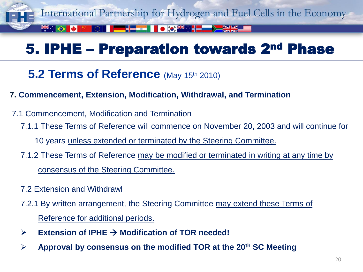

#### **5.2 Terms of Reference** (May 15th 2010)

#### **7. Commencement, Extension, Modification, Withdrawal, and Termination**

- 7.1 Commencement, Modification and Termination
	- 7.1.1 These Terms of Reference will commence on November 20, 2003 and will continue for
		- 10 years unless extended or terminated by the Steering Committee.
	- 7.1.2 These Terms of Reference may be modified or terminated in writing at any time by consensus of the Steering Committee.
	- 7.2 Extension and Withdrawl
	- 7.2.1 By written arrangement, the Steering Committee may extend these Terms of Reference for additional periods.
	- $\triangleright$  **Extension of IPHE**  $\rightarrow$  **Modification of TOR needed!**
	- **Approval by consensus on the modified TOR at the 20th SC Meeting**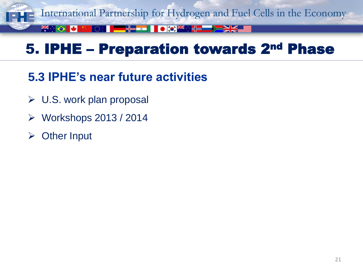

## **5.3 IPHE's near future activities**

- $\triangleright$  U.S. work plan proposal
- Workshops 2013 / 2014
- Other Input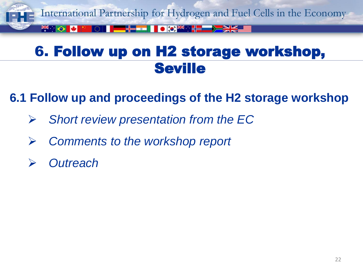

## 6. Follow up on H2 storage workshop, **Seville**

## **6.1 Follow up and proceedings of the H2 storage workshop**

- *Short review presentation from the EC*
- *Comments to the workshop report*
- *Outreach*